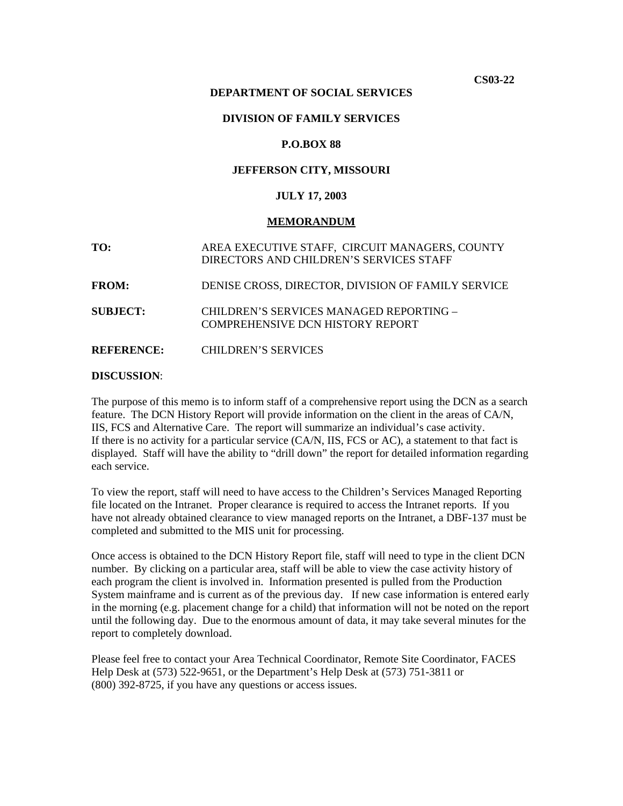**CS03-22** 

### **DEPARTMENT OF SOCIAL SERVICES**

### **DIVISION OF FAMILY SERVICES**

### **P.O.BOX 88**

### **JEFFERSON CITY, MISSOURI**

### **JULY 17, 2003**

#### **MEMORANDUM**

**TO:** AREA EXECUTIVE STAFF, CIRCUIT MANAGERS, COUNTY DIRECTORS AND CHILDREN'S SERVICES STAFF **FROM:** DENISE CROSS, DIRECTOR, DIVISION OF FAMILY SERVICE **SUBJECT:** CHILDREN'S SERVICES MANAGED REPORTING – COMPREHENSIVE DCN HISTORY REPORT

**REFERENCE:** CHILDREN'S SERVICES

### **DISCUSSION**:

The purpose of this memo is to inform staff of a comprehensive report using the DCN as a search feature. The DCN History Report will provide information on the client in the areas of CA/N, IIS, FCS and Alternative Care. The report will summarize an individual's case activity. If there is no activity for a particular service (CA/N, IIS, FCS or AC), a statement to that fact is displayed. Staff will have the ability to "drill down" the report for detailed information regarding each service.

To view the report, staff will need to have access to the Children's Services Managed Reporting file located on the Intranet. Proper clearance is required to access the Intranet reports. If you have not already obtained clearance to view managed reports on the Intranet, a DBF-137 must be completed and submitted to the MIS unit for processing.

Once access is obtained to the DCN History Report file, staff will need to type in the client DCN number. By clicking on a particular area, staff will be able to view the case activity history of each program the client is involved in. Information presented is pulled from the Production System mainframe and is current as of the previous day. If new case information is entered early in the morning (e.g. placement change for a child) that information will not be noted on the report until the following day. Due to the enormous amount of data, it may take several minutes for the report to completely download.

Please feel free to contact your Area Technical Coordinator, Remote Site Coordinator, FACES Help Desk at (573) 522-9651, or the Department's Help Desk at (573) 751-3811 or (800) 392-8725, if you have any questions or access issues.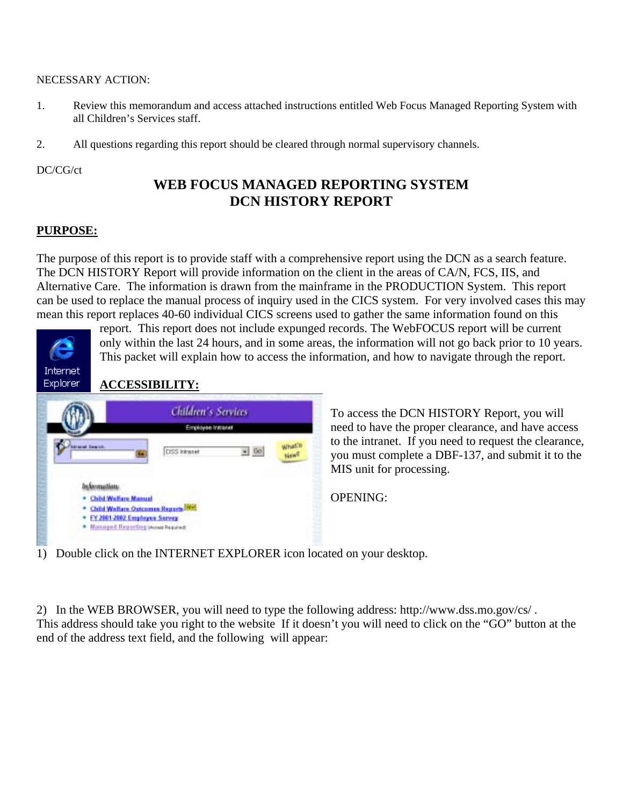### NECESSARY ACTION:

- 1. Review this memorandum and access attached instructions entitled Web Focus Managed Reporting System with all Children's Services staff.
- 2. All questions regarding this report should be cleared through normal supervisory channels.

### DC/CG/ct

# **WEB FOCUS MANAGED REPORTING SYSTEM DCN HISTORY REPORT**

## **PURPOSE:**

The purpose of this report is to provide staff with a comprehensive report using the DCN as a search feature. The DCN HISTORY Report will provide information on the client in the areas of CA/N, FCS, IIS, and Alternative Care. The information is drawn from the mainframe in the PRODUCTION System. This report can be used to replace the manual process of inquiry used in the CICS system. For very involved cases this may mean this report replaces 40-60 individual CICS screens used to gather the same information found on this



report. This report does not include expunged records. The WebFOCUS report will be current only within the last 24 hours, and in some areas, the information will not go back prior to 10 years. This packet will explain how to access the information, and how to navigate through the report.

## **ACCESSIBILITY:**



To access the DCN HISTORY Report, you will need to have the proper clearance, and have access to the intranet. If you need to request the clearance, you must complete a DBF-137, and submit it to the MIS unit for processing.

OPENING:

1) Double click on the INTERNET EXPLORER icon located on your desktop.

2) In the WEB BROWSER, you will need to type the following address: http://[www.dss](http://www.dss.mo.gov/cs/).mo.gov/cs/ . This address should take you right to the website If it doesn't you will need to click on the "GO" button at the end of the address text field, and the following will appear: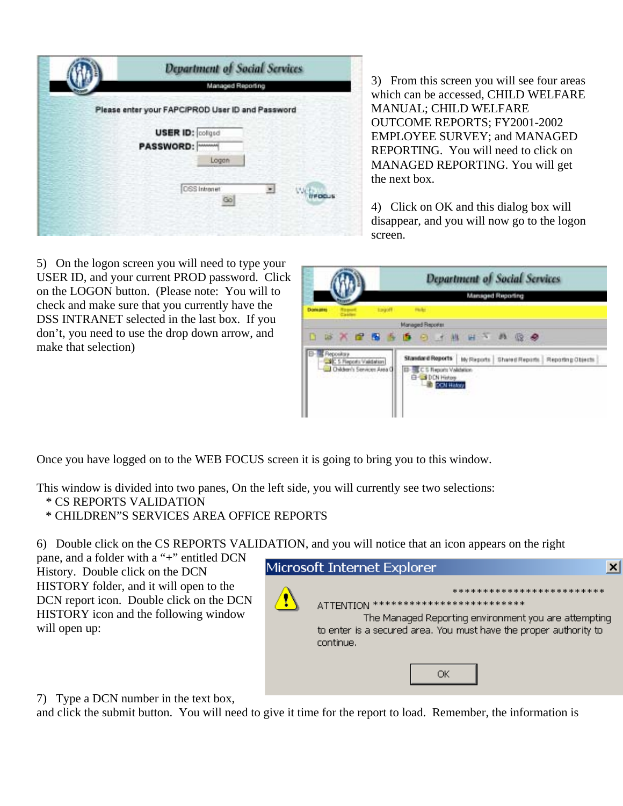| Managed Reporting                                |                     |
|--------------------------------------------------|---------------------|
| Please enter your FAPC/PROD User ID and Password |                     |
| <b>USER ID: collged</b>                          |                     |
| PASSWORD:                                        |                     |
| Logan                                            |                     |
|                                                  | ×                   |
| Go                                               | Wirecus             |
|                                                  |                     |
|                                                  | <b>DSS</b> Intranet |

3) From this screen you will see four a reas which can be accessed, CHILD WELF ARE MANUAL; CHILD WELFARE OUTCOME REPORTS; FY2001-2002 EMPLOYEE SURVEY; and MANAGED REPORTING. You will need to click on MANAGED REPORTING. You will ge t the next box.

disappear, and you will now go to the logon 4) Click on OK and this dialog box will screen.

5) On the logon screen you will need to type your USER ID, and your current PROD password. Click on the LOGON button. (Please note: You will to check and make sure that you currently have the DSS INTRANET selected in the last box. If you don't, you need to use the drop down arrow, and make that selection)



Once you have logged on to the WEB FOCUS screen it is going to bring you to this window.

This window is divided into two panes, On the left side, you will currently see two selections:

- \* CS REPORTS VALIDATION
- \* CHILDREN"S SERVICES AREA OFFICE REPORTS

6) Double click on the CS REPORTS VALIDATION, and you will notice that an icon appears on the right

pane, and a folder with a "+" entitled DCN History. Double click on the DCN HISTORY folder, and it will open to the DCN report icon. Double click on the DCN HISTORY icon and the following window will open up:



7) Type a DCN number in the text box,

and click the submit button. You will need to give it time for the report to load. Remember, the information is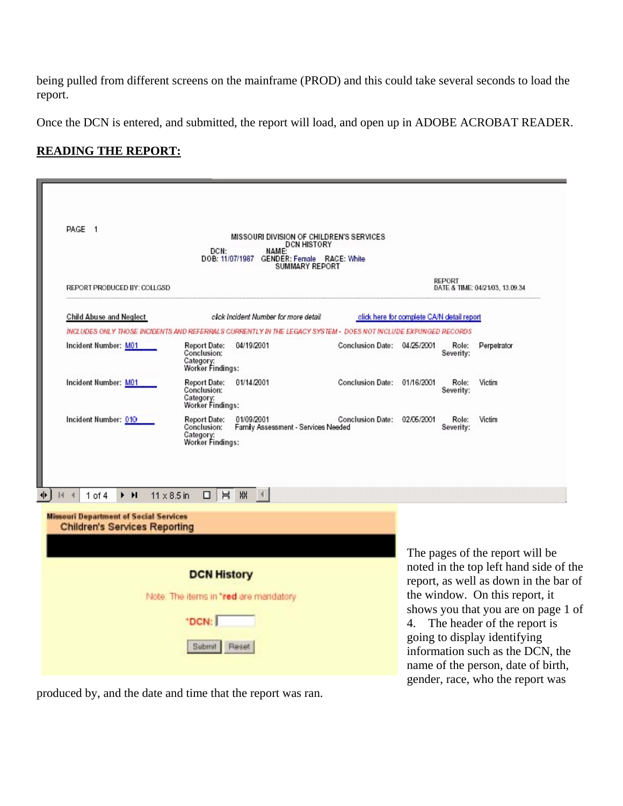being pulled from different screens on the mainframe (PROD) and this could take several seconds to load the report.

Once the DCN is entered, and submitted, the report will load, and open up in ADOBE ACROBAT READER.

# **READING THE REPORT:**

|                                                                                       | MISSOURI DIVISION OF CHILDREN'S SERVICES<br>DCN HISTORY<br>DCN:<br>DOB: 11/07/1987 GENDER: Female RACE: White<br>SUMMARY REPORT |                             |                                            |                                                                                                          |
|---------------------------------------------------------------------------------------|---------------------------------------------------------------------------------------------------------------------------------|-----------------------------|--------------------------------------------|----------------------------------------------------------------------------------------------------------|
| REPORT PRODUCED BY: COLLGSD                                                           |                                                                                                                                 |                             | REPORT                                     | DATE & TIME: 04/21/03, 13.09.34                                                                          |
| <b>Child Abuse and Neglect</b>                                                        | click Incident Number for more detail                                                                                           |                             | click here for complete CA/N detail report |                                                                                                          |
|                                                                                       | INCLUDES ONLY THOSE INCIDENTS AND REFERRALS CURRENTLY IN THE LEGACY SYSTEM - DOES NOT INCLUDE EXPUNGED RECORDS                  |                             |                                            |                                                                                                          |
| Incident Number: M01                                                                  | 04/19/2001<br><b>Report Date:</b><br>Conclusion:<br>Category:<br>Worker Findings:                                               | Conclusion Date: 04/25/2001 | Role:<br>Severity:                         | Perpetrator                                                                                              |
| Incident Number: M01                                                                  | <b>Report Date:</b><br>01/14/2001<br>Conclusion:<br>Category:<br>Worker Findings:                                               | Conclusion Date: 01/16/2001 | Role:<br>Severity:                         | Victim                                                                                                   |
| Incident Number: 010                                                                  | <b>Report Date:</b><br>01/09/2001<br>Conclusion:<br>Family Assessment - Services Needed<br>Category:<br>Worker Findings:        | Conclusion Date: 02/06/2001 | Role:<br>Severity:                         | Victim                                                                                                   |
| $1$ of $4$<br>▸ н                                                                     | 胐<br>$\Box$<br>H<br>$11 \times 8.5$ in                                                                                          |                             |                                            |                                                                                                          |
| <b>Missouri Department of Social Services</b><br><b>Children's Services Reporting</b> |                                                                                                                                 |                             |                                            |                                                                                                          |
|                                                                                       |                                                                                                                                 |                             |                                            |                                                                                                          |
|                                                                                       | <b>DCN History</b><br>Note: The items in "red are mandatory                                                                     |                             |                                            | The pages of the report will be<br>noted in the top left hand side of                                    |
|                                                                                       |                                                                                                                                 |                             |                                            | report, as well as down in the bar<br>the window. On this report, it<br>shows you that you are on page 1 |

produced by, and the date and time that the report was ran.

noted in the top left hand side of the report, as well as down in the bar of shows you that you are on page 1 of information such as the DCN, the name of the person, date of birth, gender, race, who the report was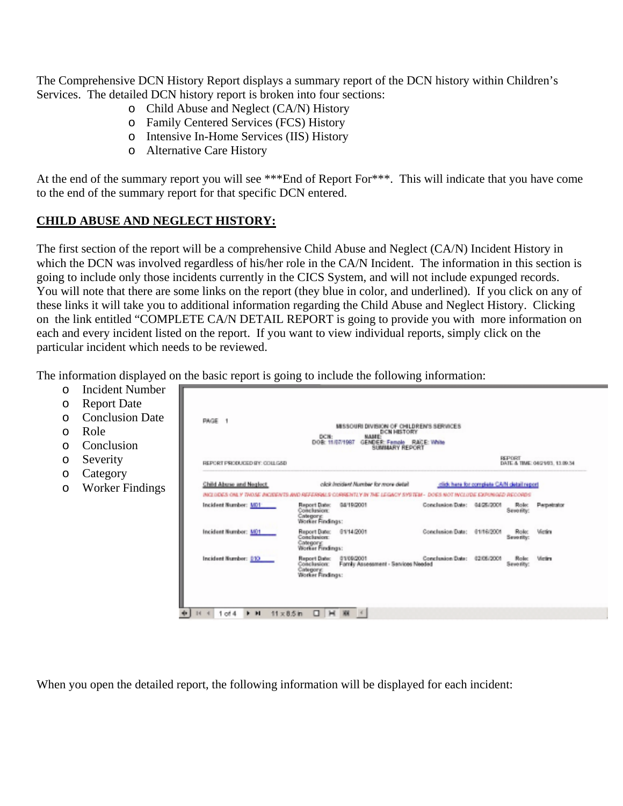The Comprehensive DCN History Report displays a summary report of the DCN history within Children's Services. The detailed DCN history report is broken into four sections:

- o Child Abuse and Neglect (CA/N) History
- o Family Centered Services (FCS) History
- o Intensive In-Home Services (IIS) History
- o Alternative Care History

At the end of the summary report you will see \*\*\*End of Report For\*\*\*. This will indicate that you have come to the end of the summary report for that specific DCN entered.

## **CHILD ABUSE AND NEGLECT HISTORY:**

HГ

The first section of the report will be a comprehensive Child Abuse and Neglect (CA/N) Incident History in which the DCN was involved regardless of his/her role in the CA/N Incident. The information in this section is going to include only those incidents currently in the CICS System, and will not include expunged records. You will note that there are some links on the report (they blue in color, and underlined). If you click on any of these links it will take you to additional information regarding the Child Abuse and Neglect History. Clicking on the link entitled "COMPLETE CA/N DETAIL REPORT is going to provide you with more information on each and every incident listed on the report. If you want to view individual reports, simply click on the particular incident which needs to be reviewed.

The information displayed on the basic report is going to include the following information:

- o Incident Number
- o Repor
- $O$  Conclu
- o Role
- o Conclu
- o Severi
- $O$  Catego
- o Worke

| PAGE 1                         | DCN:<br><b>MAJEE</b><br>DOR: 11/07/1987                                    |                                                                                                                                                                                                                                               |                                                                                           |                                                                                                                                          |
|--------------------------------|----------------------------------------------------------------------------|-----------------------------------------------------------------------------------------------------------------------------------------------------------------------------------------------------------------------------------------------|-------------------------------------------------------------------------------------------|------------------------------------------------------------------------------------------------------------------------------------------|
| REPORT PRODUCED BY: COLLGSD    |                                                                            |                                                                                                                                                                                                                                               |                                                                                           | DATE & TIME: 04/21/03, 13.09.34                                                                                                          |
| <b>Child Abuse and Neglect</b> | click heider! Number for more detail                                       |                                                                                                                                                                                                                                               |                                                                                           |                                                                                                                                          |
|                                |                                                                            |                                                                                                                                                                                                                                               |                                                                                           |                                                                                                                                          |
| Incident Number: MDT           | Report Date:<br>04/19/2001<br>Conclusion<br>Category:<br>Väorker Findings: |                                                                                                                                                                                                                                               | Rok                                                                                       | Perpetrator                                                                                                                              |
| Incident Number: MO1           | Report Date:<br>81/14/2001<br>Conclusion:<br>Category:<br>Worker Findings: |                                                                                                                                                                                                                                               | Role:                                                                                     | Vietira                                                                                                                                  |
| Incident Number: 010           | 01/09/2001<br>Report Date:<br>Conclusion:<br>Category:<br>Worker Findings: |                                                                                                                                                                                                                                               | Rolec                                                                                     | Victim                                                                                                                                   |
|                                |                                                                            | MISSOURI DIVISION OF CHILDREN'S SERVICES<br><b>DCN HISTORY</b><br>GENDER: Female RACE: White<br><b>SUMIAARY REPORT</b><br>INCLUDES ONLY THOSE INCIDENTS AND REFERRALS CORRENTLY BY THE LEGACY SYSTEM-<br>Fornily Assessment - Services Needed | Conclusion Date: 04/25/2001<br>Conclusion Date: 01/16/2001<br>Conclusion Date: 02/06/2001 | <b>REPORT</b><br>click here for complete CA/N cletail report<br>DOES NOT INCLUDE EXPINIGED RECORDS<br>Seventy:<br>Sewerity:<br>Severity: |

When you open the detailed report, the following information will be displayed for each incident: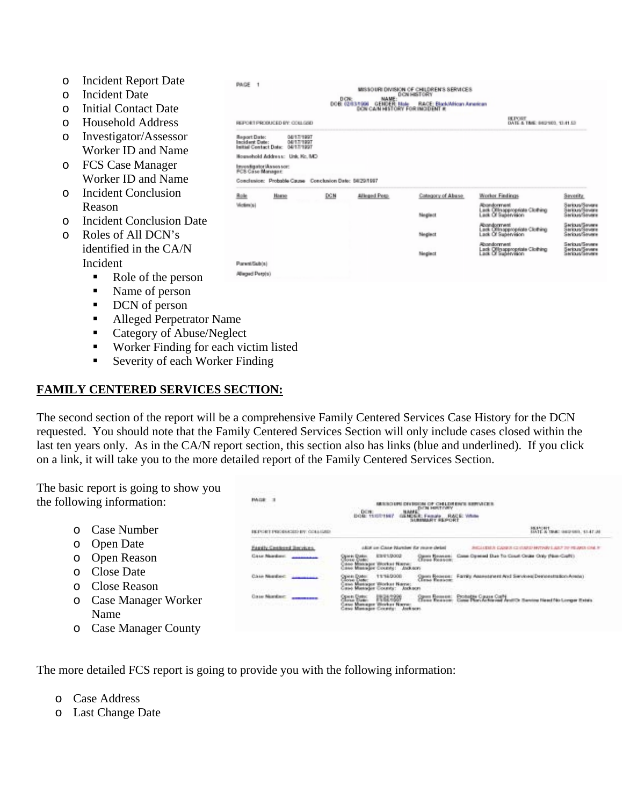- o Incident Report Date
- o Incident Date
- o Initial Contact Date
- o Household Address
- o Investigator/Assessor Worker ID and Name
- o FCS Case Manager Worker ID and Name
- o Incident Conclusion Reason
- o Incident Conclusion Date
- o Roles of All DCN's identified in the CA/N Incident
	- Role of the person
	- Name of person
	- **DCN** of person
	- ! Alleged Perpetrator Name
	- Category of Abuse/Neglect
	- ! Worker Finding for each victim listed

PAGE 1

■ Severity of each Worker Finding

## **FAMILY CENTERED SERVICES SECTION:**

The second section of the report will be a comprehensive Family Centered Services Case History for the DCN requested. You should note that the Family Centered Services Section will only include cases closed within the last ten years only. As in the CA/N report section, this section also has links (blue and underlined). If you click on a link, it will take you to the more detailed report of the Family Centered Services Section.

The basic report is going to show you the following information:

- o Case Number
- o Open Date
- o Open Reason
- o Close Date
- o Close Reason
- o Case Manager Worker Name
- o Case Manager County

| <b>Fastly Centered Bergken</b>                      | okia ce Case Number for roure detail                                                         | JUSTICE LEWIS CO., MANUFACTURER AND THE RESPONSES OF ALL RESIDENCE.                                         |
|-----------------------------------------------------|----------------------------------------------------------------------------------------------|-------------------------------------------------------------------------------------------------------------|
| Case Nambert,<br><b>MAN SERVICE AND STATE</b>       | E3/81/2002<br>Зами Колеше.<br>Гена Розлив<br>Makager Workst Name:<br>Masager County: Anduson | Cope Opened Due To Court Order Only (Non-Cost))<br>FACTOR REMARKATION NAMED IN LAND                         |
| Case Needwith                                       | 11160000                                                                                     | Family Assessment And Services Demonstration Areas:                                                         |
| <b>Course Manufact</b><br>AND ACTED HEATHER THE THE | Manager Wricker<br>Gesu Manager County                                                       | Open Rossee: Protette Open Oath<br>Class Region: Case Norvictional And Canonic Newton Health Lorenz Relativ |

MASO UN DIVISION OF CHILDREN'S SERVICES

The more detailed FCS report is going to provide you with the following information:

MGE 3

- o Case Address
- o Last Change Date

|                                                                                                                                          |     |              |                    | DATE & TIME: 64(210). 13:41.53                                             |                                                    |
|------------------------------------------------------------------------------------------------------------------------------------------|-----|--------------|--------------------|----------------------------------------------------------------------------|----------------------------------------------------|
| <b>Report Date:</b><br>04/17/1997<br>Incident Date:<br>04/17/1997<br>Initial Contact Data: 04/17/1997<br>Nouvelsold Address: Unk. Kc. MD |     |              |                    |                                                                            |                                                    |
| Investigator Assessor:<br>FCS Case Manager.                                                                                              |     |              |                    |                                                                            |                                                    |
| Conclusion: Probable Cause Conclusion Date: 08/20/1997                                                                                   |     |              |                    |                                                                            |                                                    |
| Role<br><b>Hagan</b>                                                                                                                     | DOM | Alleged Pegs | Calegory of Abuse. | <b>Worker Findings</b>                                                     | Seventy.                                           |
| Váctima's I                                                                                                                              |     |              | Neglect            | Abondomnent<br>Lack Offnoppropriate Clothing<br>Lack Of Supervision        | Sarkus/Sevare<br>Sarinus/Savere<br>Sankua/Sevene   |
|                                                                                                                                          |     |              | Neglect            | <b>Abandomwet</b><br>Lack Offinappropriate Clothing<br>Lack Of Supervision | Seriaus/Severe<br>Seriaus/Severe<br>Sarious/Severe |
|                                                                                                                                          |     |              |                    | <b>Abandonment</b><br>Lack Offmappropriate Clothing                        | Serious/Seyere<br>Serious Severe<br>Serious Severe |

MISSOURI DEMOCAL DE CULI DOEMS SERVICES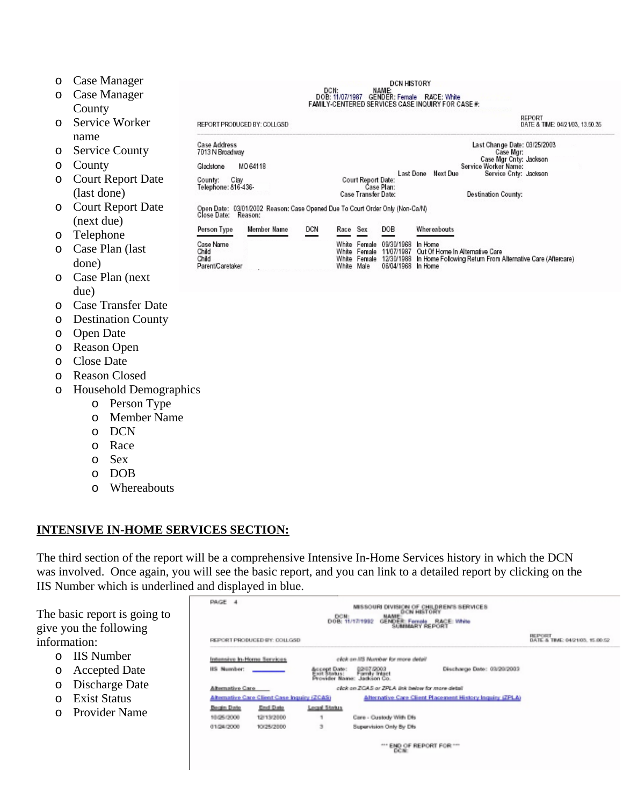| O       | Case Manager                  |                             |                                                                                                     |     |          |                            | <b>DCN HISTORY</b>                    |                                                                       |
|---------|-------------------------------|-----------------------------|-----------------------------------------------------------------------------------------------------|-----|----------|----------------------------|---------------------------------------|-----------------------------------------------------------------------|
| $\circ$ | Case Manager                  |                             |                                                                                                     |     | DCN:     |                            | NAME:                                 | DOB: 11/07/1987 GENDER: Female RACE: White                            |
|         | County                        |                             |                                                                                                     |     |          |                            |                                       | FAMILY-CENTERED SERVICES CASE INQUIRY FOR CASE #:                     |
| $\circ$ | Service Worker                | REPORT PRODUCED BY: COLLGSD |                                                                                                     |     |          |                            |                                       | REPORT<br>DATE & TIME: 04/21/03, 13.50.35                             |
|         | name                          | <b>Case Address</b>         |                                                                                                     |     |          |                            |                                       | Last Change Date: 03/25/2003                                          |
| O       | <b>Service County</b>         | 7013 N Broadway             |                                                                                                     |     |          |                            |                                       | Case Mgr:<br>Case Mgr Cnty: Jackson                                   |
| O       | County                        | Gladstone                   | MO 64118                                                                                            |     |          |                            |                                       | Service Worker Name:                                                  |
| O       | <b>Court Report Date</b>      | Clay<br>County:             |                                                                                                     |     |          | <b>Court Report Date:</b>  | Case Plan:                            | Last Done Next Due<br>Service Cnty: Jackson                           |
|         | (last done)                   | Telephone: 816-436-         |                                                                                                     |     |          | <b>Case Transfer Date:</b> |                                       | <b>Destination County:</b>                                            |
| $\circ$ | <b>Court Report Date</b>      |                             | Open Date: 03/01/2002 Reason: Case Opened Due To Court Order Only (Non-Ca/N)<br>Close Date: Reason: |     |          |                            |                                       |                                                                       |
|         | (next due)                    |                             |                                                                                                     |     |          |                            |                                       |                                                                       |
| O       | Telephone                     | Person Type                 | Member Name                                                                                         | DCN | Race Sex |                            | DOB                                   | Whereabouts                                                           |
| $\circ$ | Case Plan (last               | Case Name<br>Child          |                                                                                                     |     |          | White Female               | White Female 09/30/1968<br>11/07/1987 | In Home<br>Out Of Home In Alternative Care                            |
|         | done)                         | Child<br>Parent/Caretaker   |                                                                                                     |     | White    | Male                       | White Female 12/30/1988<br>06/04/1968 | In Home Following Return From Alternative Care (Aftercare)<br>In Home |
| $\circ$ | Case Plan (next)              |                             |                                                                                                     |     |          |                            |                                       |                                                                       |
|         | due)                          |                             |                                                                                                     |     |          |                            |                                       |                                                                       |
| $\circ$ | <b>Case Transfer Date</b>     |                             |                                                                                                     |     |          |                            |                                       |                                                                       |
| O       | <b>Destination County</b>     |                             |                                                                                                     |     |          |                            |                                       |                                                                       |
| O       | <b>Open Date</b>              |                             |                                                                                                     |     |          |                            |                                       |                                                                       |
| O       | <b>Reason Open</b>            |                             |                                                                                                     |     |          |                            |                                       |                                                                       |
| O       | <b>Close Date</b>             |                             |                                                                                                     |     |          |                            |                                       |                                                                       |
| $\circ$ | <b>Reason Closed</b>          |                             |                                                                                                     |     |          |                            |                                       |                                                                       |
| $\circ$ | <b>Household Demographics</b> |                             |                                                                                                     |     |          |                            |                                       |                                                                       |
|         | Person Type<br>$\circ$        |                             |                                                                                                     |     |          |                            |                                       |                                                                       |
|         |                               |                             |                                                                                                     |     |          |                            |                                       |                                                                       |

- o Member Name
- o DCN
- o Race
- o Sex
- o DOB
- o Whereabouts

## **INTENSIVE IN-HOME SERVICES SECTION:**

Л

The third section of the report will be a comprehensive Intensive In-Home Services history in which the DCN was involved. Once again, you will see the basic report, and you can link to a detailed report by clicking on the IIS Number which is underlined and displayed in blue.

| REPORT PRODUCED BY: COLLGSD |                                                                                                                          |                                                                         | DATE & TIME: 04/21/05, 15.00.52                                                                                                                                                                           |
|-----------------------------|--------------------------------------------------------------------------------------------------------------------------|-------------------------------------------------------------------------|-----------------------------------------------------------------------------------------------------------------------------------------------------------------------------------------------------------|
|                             |                                                                                                                          |                                                                         |                                                                                                                                                                                                           |
|                             | 02/07/2003<br>Jackson Co.                                                                                                | Discharge Date: 03/20/2003                                              |                                                                                                                                                                                                           |
|                             |                                                                                                                          |                                                                         |                                                                                                                                                                                                           |
|                             |                                                                                                                          |                                                                         |                                                                                                                                                                                                           |
|                             |                                                                                                                          |                                                                         |                                                                                                                                                                                                           |
| ٠                           |                                                                                                                          |                                                                         |                                                                                                                                                                                                           |
| 3                           |                                                                                                                          |                                                                         |                                                                                                                                                                                                           |
|                             | Intensive In-Home Services<br>Alternative Care Client Case Inquiry (ZCAS)<br><b>End Date</b><br>12/13/2000<br>10/25/2000 | Accept Date:<br>Exit Status:<br><b>Evenider Navas</b> :<br>Local Status | click on MS Murebar for more detail<br>click on ZCAS or ZPLA link below for more detail<br>Alternative Care Client Placement History Inquiry (ZPLA)<br>Care - Custody With Dfs<br>Supervision Only By Dfs |

The basic report is going give you the following information:

- o IIS Number
- o Accepted Date
- o Discharge Date
- o Exist Status
- o Provider Name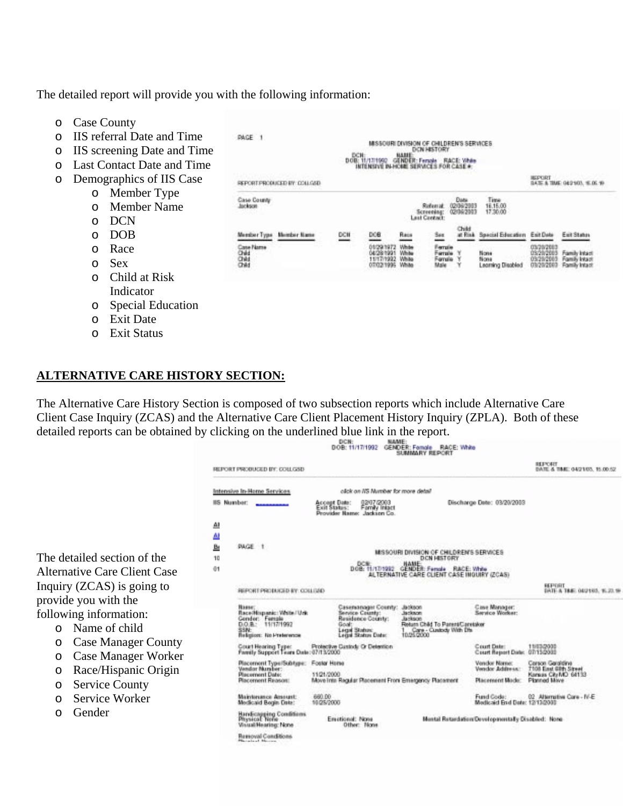The detailed report will provide you with the following information:

PAGE 1

Case County

Jackson

REPORT PRODUCED BY COLLOGO

- o Case County
- o IIS referral Date and Time
- o IIS screening Date and Time
- o Last Contact Date and Time
- o Demographics of IIS Case
	- o Member Type
		- o Member Name
		- o DCN
		- o DOB
		- o Race
		-
		- o Child at Risk
		- o Special Education
		- o Exit Date
		- o Exit Status

## **ALTERNATIVE CARE HISTORY SECTION:**

The Alternative Care History Section is composed of two subsection reports which include Alternative Care Client Case Inquiry (ZCAS) and the Alternative Care Client Placement History Inquiry (ZPLA). Both of these detailed reports can be obtained by clicking on the underlined blue link in the report. DCN: NAME:<br>DOB: 11/17/1992 GENDER: Fornole RACE: White

|                                       |                |                                                                          |                                                                                             | <b>SUMMARY REPORT</b>                                                                         |                                                   |                                             |
|---------------------------------------|----------------|--------------------------------------------------------------------------|---------------------------------------------------------------------------------------------|-----------------------------------------------------------------------------------------------|---------------------------------------------------|---------------------------------------------|
|                                       |                | REPORT PRODUCED BY: COLLGSD                                              |                                                                                             |                                                                                               |                                                   | REPORT<br>DATE & TMC 04/21/03, 15.00.52     |
|                                       |                | Intensive In-Home Services                                               | olick on I/S Number for more detail                                                         |                                                                                               |                                                   |                                             |
|                                       |                | <b>IS Number:</b>                                                        | 12/07/2003<br>Account Date:<br>Exit Status:<br>Fornily Intact<br>Provider Name: Jackson Co. |                                                                                               | Discharge Date: 03/20/2003                        |                                             |
|                                       | 싀<br><u>AI</u> |                                                                          |                                                                                             |                                                                                               |                                                   |                                             |
|                                       | 医              | PAGE                                                                     |                                                                                             |                                                                                               |                                                   |                                             |
| The detailed section of the           |                |                                                                          |                                                                                             | MISSOURI DIVISION OF CHILDREN'S SERVICES<br>DCN HISTORY<br>HAME                               |                                                   |                                             |
| <b>Alternative Care Client Case</b>   | ē1             |                                                                          |                                                                                             | DOB: 11/17/1992 GENDER: Forcelo<br>RACE: White<br>ALTERNATIVE CARE CLIENT CASE INQUIRY (ZCAS) |                                                   |                                             |
| Inquiry (ZCAS) is going to            |                | REPORT PROBUGED BY: COLLEAD                                              |                                                                                             |                                                                                               |                                                   | REPORT<br>DATE & TREE OLU HO3, 16, 23, 19   |
| provide you with the                  |                | Пави                                                                     | Casersanager County:                                                                        | Jackson                                                                                       | <b>Case Manager:</b>                              |                                             |
| following information:                |                | Race Hispanic: Virite / Urk<br>Gondor: Female                            | Service County:<br>Residence County:                                                        | Jackson<br><b>Jankson</b>                                                                     | Service Worker:                                   |                                             |
| Name of child<br>$\Omega$             |                | 0.0.8<br>11/17/1992<br>58N:                                              | Goal<br><b>Legal Status:</b>                                                                | Return Child To Parent/Caretaker<br>Care - Custody With Dfs<br>0.25,2000                      |                                                   |                                             |
| <b>Case Manager County</b><br>$\circ$ |                | Religion: No Preterence                                                  | <b>Legal Status Date:</b><br>Protective Custody Or Detention                                |                                                                                               | Court Deter                                       | 11/03/2000                                  |
| <b>Case Manager Worker</b><br>$\circ$ |                | Court Hearing Type: Protective D<br>Family Support Team Date: 07/13/2000 |                                                                                             |                                                                                               | Court Report Date: 07/13/2000                     |                                             |
| Race/Hispanic Origin<br>$\circ$       |                | Placement Type/Subtype:<br>Vander Muraber:                               | Foster Horse                                                                                |                                                                                               | Vendor Namo:<br>Verschor Arduite an:              | Carson Garaidine<br>7108 East Gifth Street  |
| <b>Service County</b>                 |                | Placement Date:<br><b>Placement Reason</b>                               | 11/21/2000<br>Move Into Regular Placement Front Emirgency Placement                         |                                                                                               | <b>Placement Mode:</b>                            | Kansas City MD 64133<br><b>Planned Maye</b> |
| $\circ$                               |                | <b>Maintenance Amount:</b>                                               | 660.00                                                                                      |                                                                                               | Fund Code:                                        | 02 Alternative Core - N-E                   |
| Service Worker<br>$\circ$             |                | Medicald Bogin Date:                                                     | 10/25/2000                                                                                  |                                                                                               | Medicaid End Date: 12/13/2003                     |                                             |
| Gender<br>$\circ$                     |                | Handicapping Conditions<br>Physical: None<br>Visual Hearing: None        | Emistional: None<br>Other: None                                                             |                                                                                               | Montal Retardation/Developmentally Disabled: Nona |                                             |
|                                       |                | Ressoval Conditions<br>Normals of Minimum                                |                                                                                             |                                                                                               |                                                   |                                             |

MISSOURI DIVISION OF CHILDREN'S SERVICES

Referral

See

Ferrale

Female<br>Mala

Screening:<br>Last Centact

Data

0206/2003

Child<br>at Rink

Time<br>16.15.00<br>17.30.00

None

Nona

Special Education

nana<br>Learning Disabled

HEPORT<br>DATE & TIME 04:2103, 15.06.19

Exit Status

Family Intact

ily Intact

Exit Date

03/29/2003

CH: BON HISTORY<br>E 11/17/1992 GENDER: Fersie RACE:<br>INTENSIVE IN-HONE SERVICES FOR CAS

Bais

White

**DOB: 11/17/1992** 

DOB

11/17/1992

DCH

Member Type Member Name Case Name<br>Child<br>Child<br>Child

- o Sex
- Indicator
- 
- 
-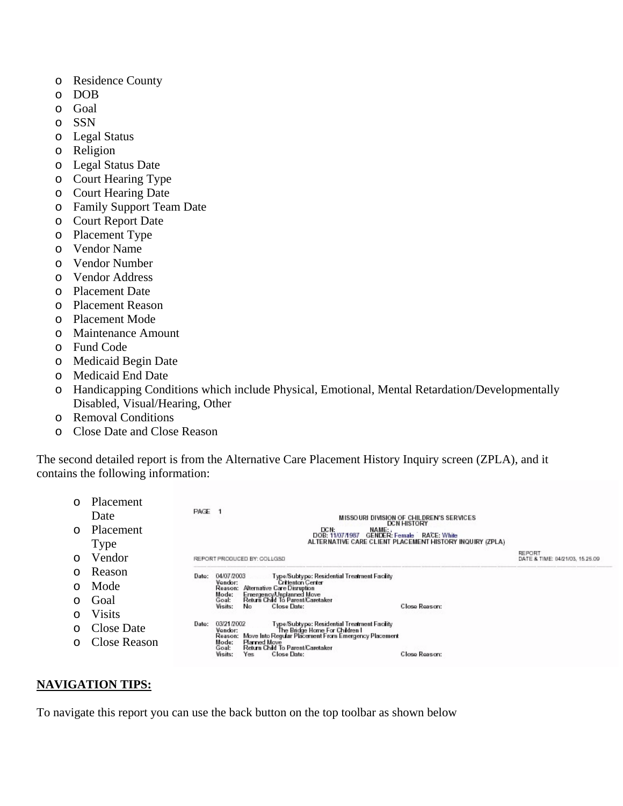- o Residence County
- o DOB
- o Goal
- o SSN
- o Legal Status
- o Religion
- o Legal Status Date
- o Court Hearing Type
- o Court Hearing Date
- o Family Support Team Date
- o Court Report Date
- o Placement Type
- o Vendor Name
- o Vendor Number
- o Vendor Address
- o Placement Date
- o Placement Reason
- o Placement Mode
- o Maintenance Amount
- o Fund Code
- o Medicaid Begin Date
- o Medicaid End Date
- o Handicapping Conditions which include Physical, Emotional, Mental Retardation/Developmentally Disabled, Visual/Hearing, Other
- o Removal Conditions
- o Close Date and Close Reason

The second detailed report is from the Alternative Care Placement History Inquiry screen (ZPLA), and it con tains the following information:

|          | Placement<br>Date | PAGE 1<br>MISSOURI DIVISION OF CHILDREN'S SERVICES<br><b>DCN HISTORY</b>                                                                                                     |                                           |
|----------|-------------------|------------------------------------------------------------------------------------------------------------------------------------------------------------------------------|-------------------------------------------|
| $\Omega$ | Placement         | DCN:<br>NAME:<br>DOB: 11/07/1987<br><b>GENDER: Female RACE: White</b>                                                                                                        |                                           |
|          | Type              | ALTERNATIVE CARE CLIENT PLACEMENT HISTORY INQUIRY (ZPLA)                                                                                                                     |                                           |
| ∩        | Vendor            | REPORT PRODUCED BY: COLLGSD                                                                                                                                                  | REPORT<br>DATE & TIME: 04/21/03, 15.25.09 |
| $\Omega$ | Reason            | 04/07/2003<br>Type/Subtype: Residential Treatment Facility<br>Date:                                                                                                          |                                           |
| $\cap$   | Mode              | Vendor:<br><b>Critienton Center</b><br>Reason: Alternative Care Disruption                                                                                                   |                                           |
|          | Goal              | EmergencyUnplanned Move<br>Return Child To Parent/Caretaker<br>Mode:<br>Goal:<br><b>Close Date:</b><br>Visits:<br>Close Reason:<br>No.                                       |                                           |
| ∩        | <b>Visits</b>     |                                                                                                                                                                              |                                           |
| $\cap$   | Close Date        | 03/21/2002 - Type/Subtype: Residential Treatment Facility<br>Vendor: The Bridge Home For Children I<br>Reason: Move Into Regular Placement From Emergency Placement<br>Date: |                                           |
|          | Close Reason      | Mode:<br>Planned Move<br>Return Child To Parent/Caretaker<br>Goal:<br>Close Date:<br>Close Reason:<br>Visits:<br>Yes                                                         |                                           |

## **NAVIG T A ION TIPS:**

To navigate this report you can use the back button on the top toolbar as shown below